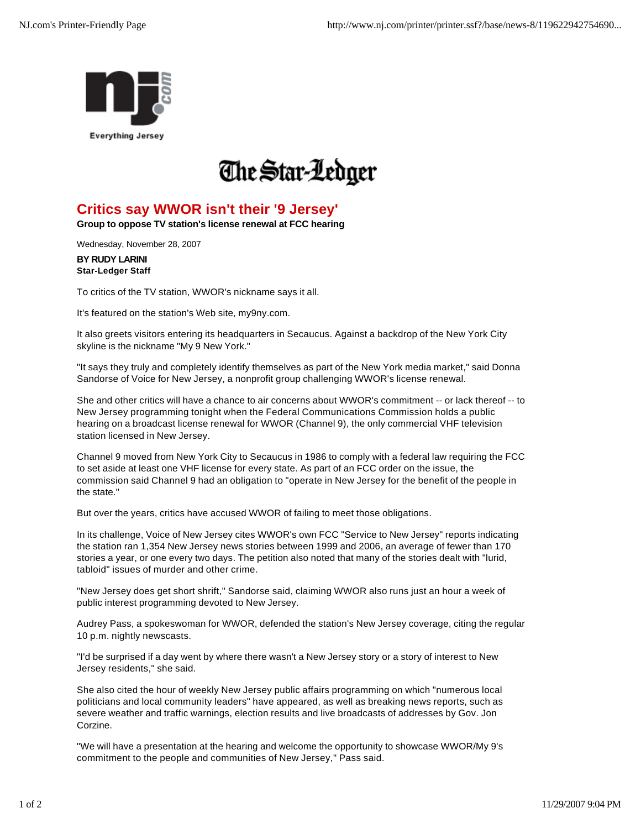



## **Critics say WWOR isn't their '9 Jersey'**

**Group to oppose TV station's license renewal at FCC hearing**

Wednesday, November 28, 2007

**BY RUDY LARINI Star-Ledger Staff**

To critics of the TV station, WWOR's nickname says it all.

It's featured on the station's Web site, my9ny.com.

It also greets visitors entering its headquarters in Secaucus. Against a backdrop of the New York City skyline is the nickname "My 9 New York."

"It says they truly and completely identify themselves as part of the New York media market," said Donna Sandorse of Voice for New Jersey, a nonprofit group challenging WWOR's license renewal.

She and other critics will have a chance to air concerns about WWOR's commitment -- or lack thereof -- to New Jersey programming tonight when the Federal Communications Commission holds a public hearing on a broadcast license renewal for WWOR (Channel 9), the only commercial VHF television station licensed in New Jersey.

Channel 9 moved from New York City to Secaucus in 1986 to comply with a federal law requiring the FCC to set aside at least one VHF license for every state. As part of an FCC order on the issue, the commission said Channel 9 had an obligation to "operate in New Jersey for the benefit of the people in the state."

But over the years, critics have accused WWOR of failing to meet those obligations.

In its challenge, Voice of New Jersey cites WWOR's own FCC "Service to New Jersey" reports indicating the station ran 1,354 New Jersey news stories between 1999 and 2006, an average of fewer than 170 stories a year, or one every two days. The petition also noted that many of the stories dealt with "lurid, tabloid" issues of murder and other crime.

"New Jersey does get short shrift," Sandorse said, claiming WWOR also runs just an hour a week of public interest programming devoted to New Jersey.

Audrey Pass, a spokeswoman for WWOR, defended the station's New Jersey coverage, citing the regular 10 p.m. nightly newscasts.

"I'd be surprised if a day went by where there wasn't a New Jersey story or a story of interest to New Jersey residents," she said.

She also cited the hour of weekly New Jersey public affairs programming on which "numerous local politicians and local community leaders" have appeared, as well as breaking news reports, such as severe weather and traffic warnings, election results and live broadcasts of addresses by Gov. Jon Corzine.

"We will have a presentation at the hearing and welcome the opportunity to showcase WWOR/My 9's commitment to the people and communities of New Jersey," Pass said.